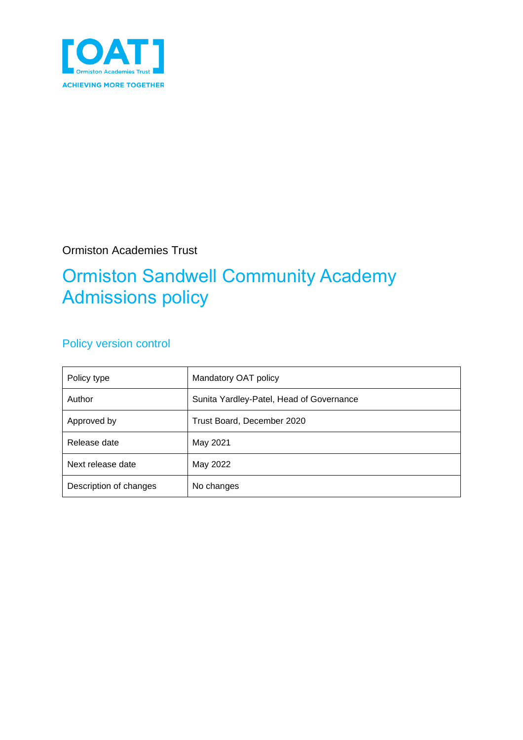

Ormiston Academies Trust

## Ormiston Sandwell Community Academy Admissions policy

## Policy version control

| Policy type            | Mandatory OAT policy                     |
|------------------------|------------------------------------------|
| Author                 | Sunita Yardley-Patel, Head of Governance |
| Approved by            | Trust Board, December 2020               |
| Release date           | May 2021                                 |
| Next release date      | May 2022                                 |
| Description of changes | No changes                               |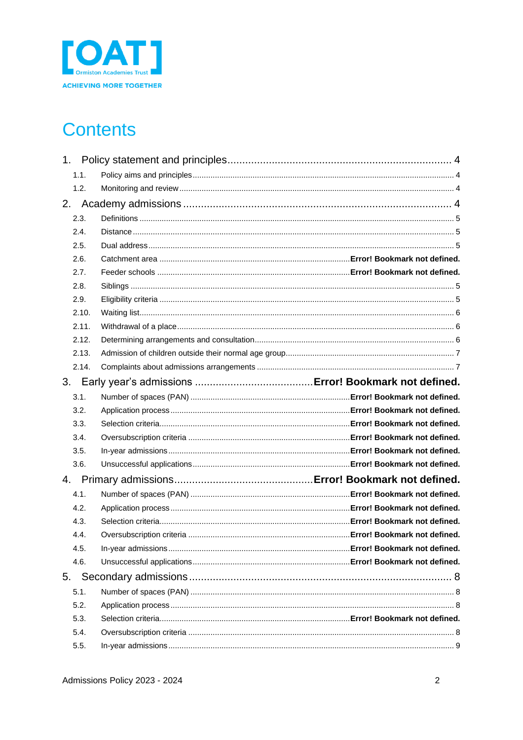

# **Contents**

| 1.    |  |
|-------|--|
| 1.1.  |  |
| 1.2.  |  |
|       |  |
| 2.3.  |  |
| 2.4.  |  |
| 2.5.  |  |
| 2.6.  |  |
| 2.7.  |  |
| 2.8.  |  |
| 2.9.  |  |
| 2.10. |  |
| 2.11. |  |
| 2.12. |  |
| 2.13. |  |
| 2.14. |  |
| 3.    |  |
| 3.1.  |  |
| 3.2.  |  |
| 3.3.  |  |
| 3.4.  |  |
| 3.5.  |  |
| 3.6.  |  |
| 4.    |  |
| 4.1.  |  |
| 4.2.  |  |
| 4.3.  |  |
| 4.4.  |  |
| 4.5.  |  |
| 4.6.  |  |
| 5.    |  |
| 5.1.  |  |
| 5.2.  |  |
| 5.3.  |  |
| 5.4.  |  |
| 5.5.  |  |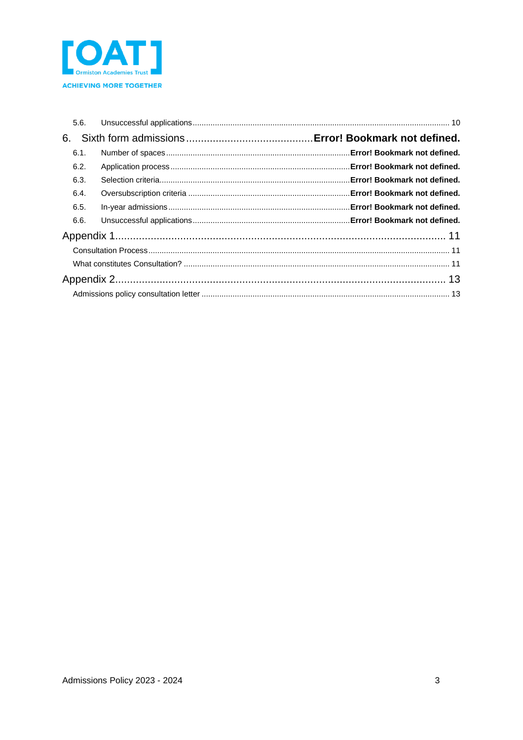

| 5.6. |  |  |
|------|--|--|
| 6.   |  |  |
| 6.1. |  |  |
| 6.2. |  |  |
| 6.3. |  |  |
| 6.4. |  |  |
| 6.5. |  |  |
| 6.6. |  |  |
|      |  |  |
|      |  |  |
|      |  |  |
|      |  |  |
|      |  |  |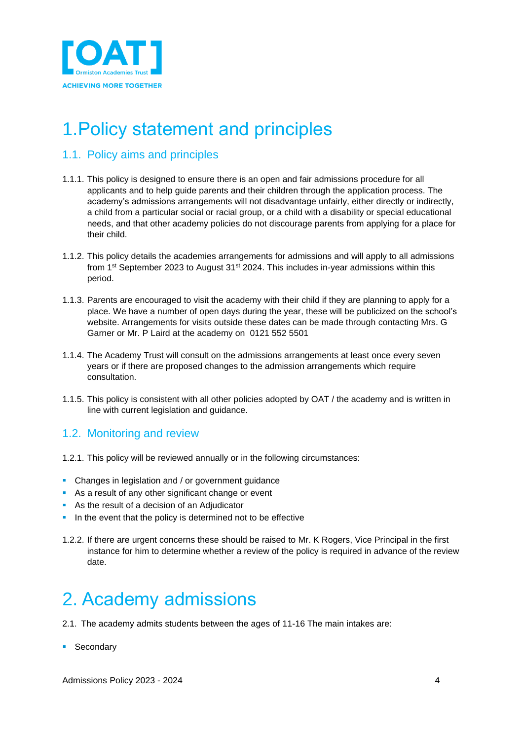

## <span id="page-3-0"></span>1.Policy statement and principles

## <span id="page-3-1"></span>1.1. Policy aims and principles

- 1.1.1. This policy is designed to ensure there is an open and fair admissions procedure for all applicants and to help guide parents and their children through the application process. The academy's admissions arrangements will not disadvantage unfairly, either directly or indirectly, a child from a particular social or racial group, or a child with a disability or special educational needs, and that other academy policies do not discourage parents from applying for a place for their child.
- 1.1.2. This policy details the academies arrangements for admissions and will apply to all admissions from 1st September 2023 to August 31st 2024. This includes in-year admissions within this period.
- 1.1.3. Parents are encouraged to visit the academy with their child if they are planning to apply for a place. We have a number of open days during the year, these will be publicized on the school's website. Arrangements for visits outside these dates can be made through contacting Mrs. G Garner or Mr. P Laird at the academy on 0121 552 5501
- 1.1.4. The Academy Trust will consult on the admissions arrangements at least once every seven years or if there are proposed changes to the admission arrangements which require consultation.
- 1.1.5. This policy is consistent with all other policies adopted by OAT / the academy and is written in line with current legislation and guidance.

## <span id="page-3-2"></span>1.2. Monitoring and review

- 1.2.1. This policy will be reviewed annually or in the following circumstances:
- **Changes in legislation and / or government guidance**
- As a result of any other significant change or event
- As the result of a decision of an Adjudicator
- In the event that the policy is determined not to be effective
- 1.2.2. If there are urgent concerns these should be raised to Mr. K Rogers, Vice Principal in the first instance for him to determine whether a review of the policy is required in advance of the review date.

## <span id="page-3-3"></span>2. Academy admissions

- 2.1. The academy admits students between the ages of 11-16 The main intakes are:
- Secondary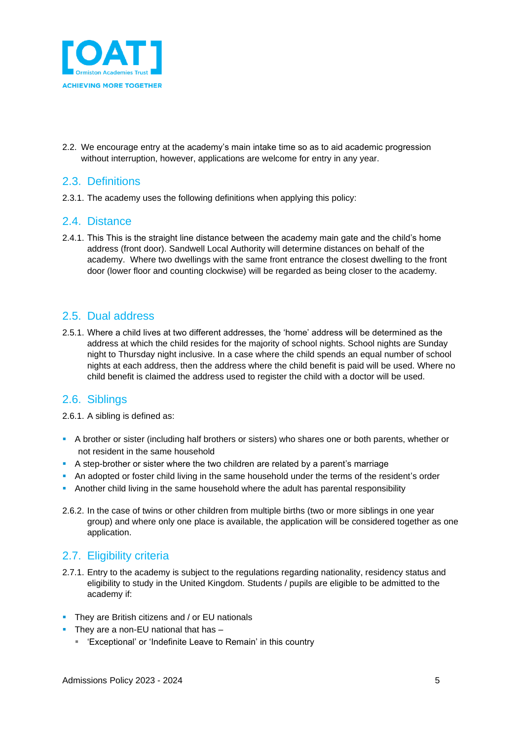

2.2. We encourage entry at the academy's main intake time so as to aid academic progression without interruption, however, applications are welcome for entry in any year.

### <span id="page-4-0"></span>2.3. Definitions

2.3.1. The academy uses the following definitions when applying this policy:

#### <span id="page-4-1"></span>2.4. Distance

2.4.1. This This is the straight line distance between the academy main gate and the child's home address (front door). Sandwell Local Authority will determine distances on behalf of the academy. Where two dwellings with the same front entrance the closest dwelling to the front door (lower floor and counting clockwise) will be regarded as being closer to the academy.

## <span id="page-4-2"></span>2.5. Dual address

2.5.1. Where a child lives at two different addresses, the 'home' address will be determined as the address at which the child resides for the majority of school nights. School nights are Sunday night to Thursday night inclusive. In a case where the child spends an equal number of school nights at each address, then the address where the child benefit is paid will be used. Where no child benefit is claimed the address used to register the child with a doctor will be used.

## <span id="page-4-3"></span>2.6. Siblings

2.6.1. A sibling is defined as:

- A brother or sister (including half brothers or sisters) who shares one or both parents, whether or not resident in the same household
- **A** step-brother or sister where the two children are related by a parent's marriage
- **•** An adopted or foster child living in the same household under the terms of the resident's order
- **Another child living in the same household where the adult has parental responsibility**
- 2.6.2. In the case of twins or other children from multiple births (two or more siblings in one year group) and where only one place is available, the application will be considered together as one application.

## <span id="page-4-4"></span>2.7. Eligibility criteria

- 2.7.1. Entry to the academy is subject to the regulations regarding nationality, residency status and eligibility to study in the United Kingdom. Students / pupils are eligible to be admitted to the academy if:
- **•** They are British citizens and / or EU nationals
- **•** They are a non-EU national that has -
	- 'Exceptional' or 'Indefinite Leave to Remain' in this country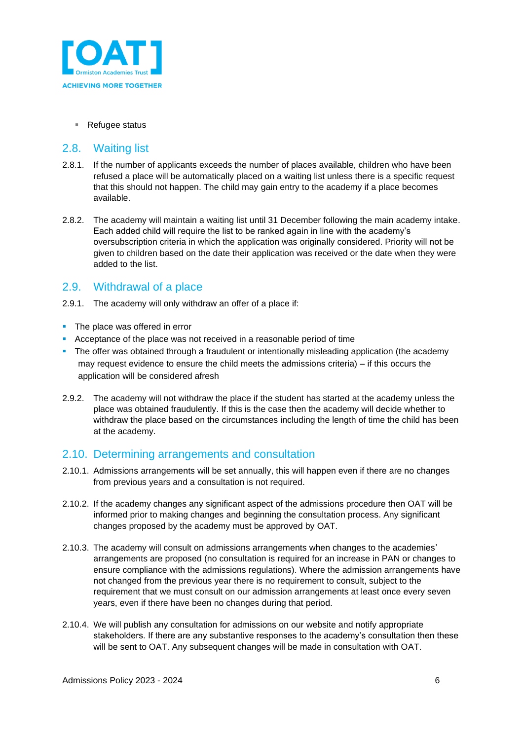

#### ■ Refugee status

### <span id="page-5-0"></span>2.8. Waiting list

- 2.8.1. If the number of applicants exceeds the number of places available, children who have been refused a place will be automatically placed on a waiting list unless there is a specific request that this should not happen. The child may gain entry to the academy if a place becomes available.
- 2.8.2. The academy will maintain a waiting list until 31 December following the main academy intake. Each added child will require the list to be ranked again in line with the academy's oversubscription criteria in which the application was originally considered. Priority will not be given to children based on the date their application was received or the date when they were added to the list.

## <span id="page-5-1"></span>2.9. Withdrawal of a place

- 2.9.1. The academy will only withdraw an offer of a place if:
- The place was offered in error
- Acceptance of the place was not received in a reasonable period of time
- **•** The offer was obtained through a fraudulent or intentionally misleading application (the academy may request evidence to ensure the child meets the admissions criteria) – if this occurs the application will be considered afresh
- 2.9.2. The academy will not withdraw the place if the student has started at the academy unless the place was obtained fraudulently. If this is the case then the academy will decide whether to withdraw the place based on the circumstances including the length of time the child has been at the academy.

## <span id="page-5-2"></span>2.10. Determining arrangements and consultation

- 2.10.1. Admissions arrangements will be set annually, this will happen even if there are no changes from previous years and a consultation is not required.
- 2.10.2. If the academy changes any significant aspect of the admissions procedure then OAT will be informed prior to making changes and beginning the consultation process. Any significant changes proposed by the academy must be approved by OAT.
- 2.10.3. The academy will consult on admissions arrangements when changes to the academies' arrangements are proposed (no consultation is required for an increase in PAN or changes to ensure compliance with the admissions regulations). Where the admission arrangements have not changed from the previous year there is no requirement to consult, subject to the requirement that we must consult on our admission arrangements at least once every seven years, even if there have been no changes during that period.
- 2.10.4. We will publish any consultation for admissions on our website and notify appropriate stakeholders. If there are any substantive responses to the academy's consultation then these will be sent to OAT. Any subsequent changes will be made in consultation with OAT.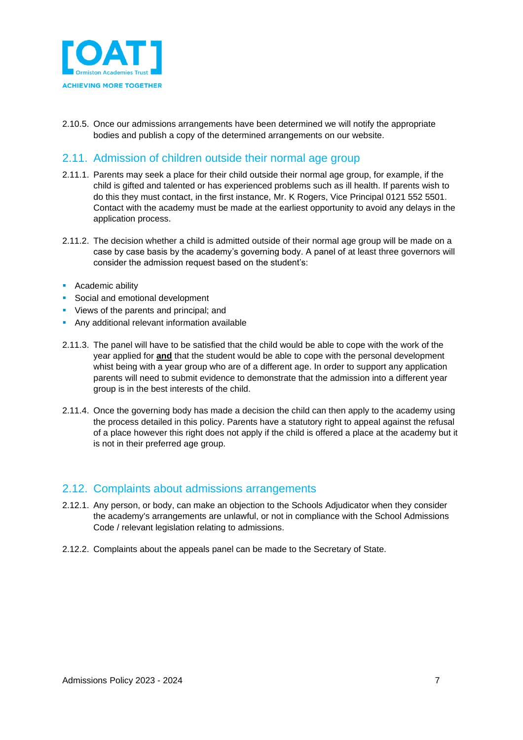

2.10.5. Once our admissions arrangements have been determined we will notify the appropriate bodies and publish a copy of the determined arrangements on our website.

## <span id="page-6-0"></span>2.11. Admission of children outside their normal age group

- 2.11.1. Parents may seek a place for their child outside their normal age group, for example, if the child is gifted and talented or has experienced problems such as ill health. If parents wish to do this they must contact, in the first instance, Mr. K Rogers, Vice Principal 0121 552 5501. Contact with the academy must be made at the earliest opportunity to avoid any delays in the application process.
- 2.11.2. The decision whether a child is admitted outside of their normal age group will be made on a case by case basis by the academy's governing body. A panel of at least three governors will consider the admission request based on the student's:
- **•** Academic ability
- Social and emotional development
- **•** Views of the parents and principal; and
- **E** Any additional relevant information available
- 2.11.3. The panel will have to be satisfied that the child would be able to cope with the work of the year applied for **and** that the student would be able to cope with the personal development whist being with a year group who are of a different age. In order to support any application parents will need to submit evidence to demonstrate that the admission into a different year group is in the best interests of the child.
- 2.11.4. Once the governing body has made a decision the child can then apply to the academy using the process detailed in this policy. Parents have a statutory right to appeal against the refusal of a place however this right does not apply if the child is offered a place at the academy but it is not in their preferred age group.

## <span id="page-6-1"></span>2.12. Complaints about admissions arrangements

- 2.12.1. Any person, or body, can make an objection to the Schools Adjudicator when they consider the academy's arrangements are unlawful, or not in compliance with the School Admissions Code / relevant legislation relating to admissions.
- 2.12.2. Complaints about the appeals panel can be made to the Secretary of State.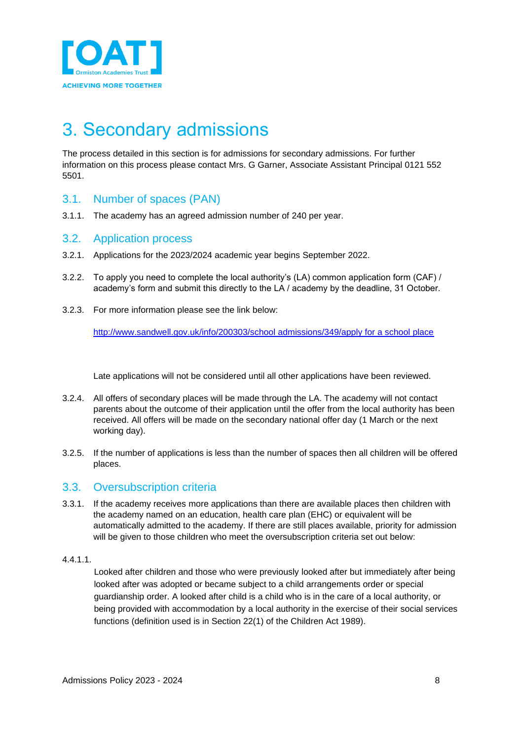

## <span id="page-7-0"></span>3. Secondary admissions

The process detailed in this section is for admissions for secondary admissions. For further information on this process please contact Mrs. G Garner, Associate Assistant Principal 0121 552 5501.

### <span id="page-7-1"></span>3.1. Number of spaces (PAN)

3.1.1. The academy has an agreed admission number of 240 per year.

### <span id="page-7-2"></span>3.2. Application process

- 3.2.1. Applications for the 2023/2024 academic year begins September 2022.
- 3.2.2. To apply you need to complete the local authority's (LA) common application form (CAF) / academy's form and submit this directly to the LA / academy by the deadline, 31 October.
- 3.2.3. For more information please see the link below:

[http://www.sandwell.gov.uk/info/200303/school admissions/349/apply for a school place](http://www.sandwell.gov.uk/info/200303/school%20admissions/349/apply%20for%20a%20school%20place)

Late applications will not be considered until all other applications have been reviewed.

- 3.2.4. All offers of secondary places will be made through the LA. The academy will not contact parents about the outcome of their application until the offer from the local authority has been received. All offers will be made on the secondary national offer day (1 March or the next working day).
- 3.2.5. If the number of applications is less than the number of spaces then all children will be offered places.

## <span id="page-7-3"></span>3.3. Oversubscription criteria

3.3.1. If the academy receives more applications than there are available places then children with the academy named on an education, health care plan (EHC) or equivalent will be automatically admitted to the academy. If there are still places available, priority for admission will be given to those children who meet the oversubscription criteria set out below:

#### 4.4.1.1.

Looked after children and those who were previously looked after but immediately after being looked after was adopted or became subject to a child arrangements order or special guardianship order. A looked after child is a child who is in the care of a local authority, or being provided with accommodation by a local authority in the exercise of their social services functions (definition used is in Section 22(1) of the Children Act 1989).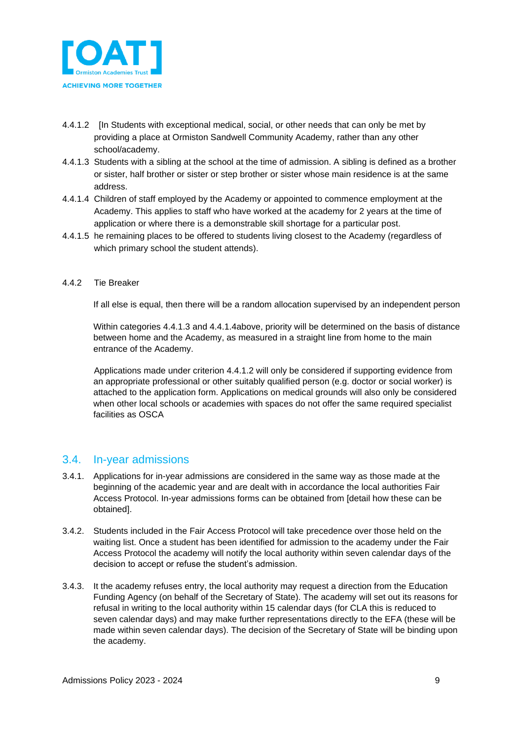

- 4.4.1.2 [In Students with exceptional medical, social, or other needs that can only be met by providing a place at Ormiston Sandwell Community Academy, rather than any other school/academy.
- 4.4.1.3 Students with a sibling at the school at the time of admission. A sibling is defined as a brother or sister, half brother or sister or step brother or sister whose main residence is at the same address.
- 4.4.1.4 Children of staff employed by the Academy or appointed to commence employment at the Academy. This applies to staff who have worked at the academy for 2 years at the time of application or where there is a demonstrable skill shortage for a particular post.
- 4.4.1.5 he remaining places to be offered to students living closest to the Academy (regardless of which primary school the student attends).

#### 4.4.2 Tie Breaker

If all else is equal, then there will be a random allocation supervised by an independent person

Within categories 4.4.1.3 and 4.4.1.4above, priority will be determined on the basis of distance between home and the Academy, as measured in a straight line from home to the main entrance of the Academy.

Applications made under criterion 4.4.1.2 will only be considered if supporting evidence from an appropriate professional or other suitably qualified person (e.g. doctor or social worker) is attached to the application form. Applications on medical grounds will also only be considered when other local schools or academies with spaces do not offer the same required specialist facilities as OSCA

#### <span id="page-8-0"></span>3.4. In-year admissions

- 3.4.1. Applications for in-year admissions are considered in the same way as those made at the beginning of the academic year and are dealt with in accordance the local authorities Fair Access Protocol. In-year admissions forms can be obtained from [detail how these can be obtained].
- 3.4.2. Students included in the Fair Access Protocol will take precedence over those held on the waiting list. Once a student has been identified for admission to the academy under the Fair Access Protocol the academy will notify the local authority within seven calendar days of the decision to accept or refuse the student's admission.
- 3.4.3. It the academy refuses entry, the local authority may request a direction from the Education Funding Agency (on behalf of the Secretary of State). The academy will set out its reasons for refusal in writing to the local authority within 15 calendar days (for CLA this is reduced to seven calendar days) and may make further representations directly to the EFA (these will be made within seven calendar days). The decision of the Secretary of State will be binding upon the academy.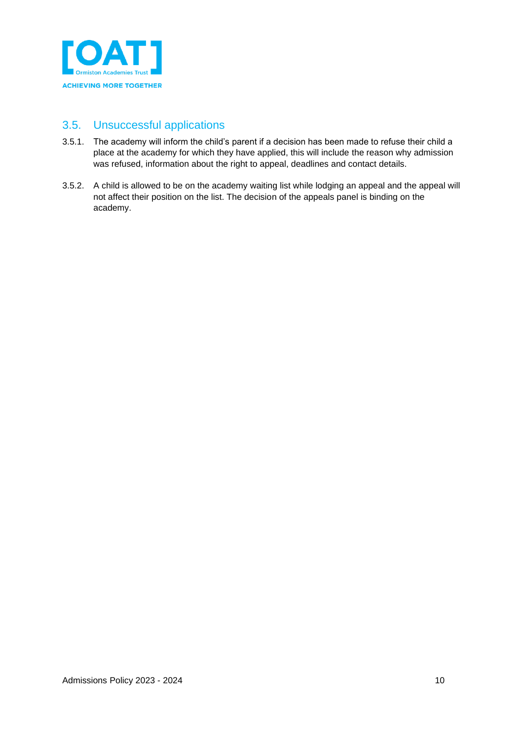

## <span id="page-9-0"></span>3.5. Unsuccessful applications

- 3.5.1. The academy will inform the child's parent if a decision has been made to refuse their child a place at the academy for which they have applied, this will include the reason why admission was refused, information about the right to appeal, deadlines and contact details.
- 3.5.2. A child is allowed to be on the academy waiting list while lodging an appeal and the appeal will not affect their position on the list. The decision of the appeals panel is binding on the academy.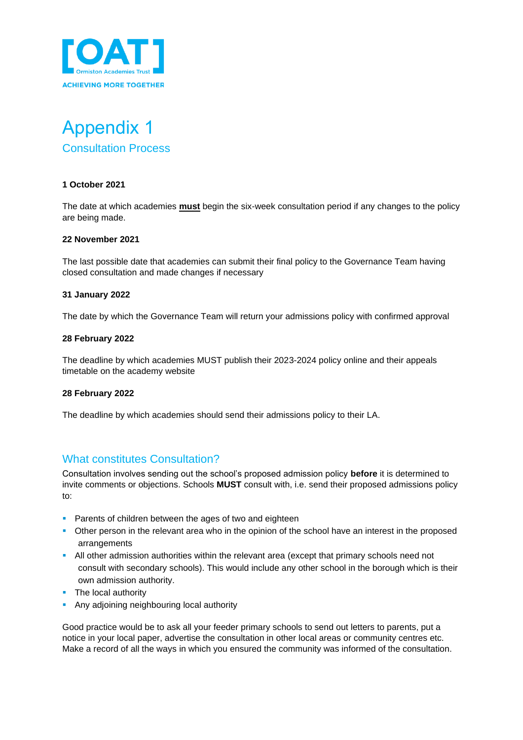

## <span id="page-10-1"></span><span id="page-10-0"></span>Appendix 1 Consultation Process

#### **1 October 2021**

The date at which academies **must** begin the six-week consultation period if any changes to the policy are being made.

#### **22 November 2021**

The last possible date that academies can submit their final policy to the Governance Team having closed consultation and made changes if necessary

#### **31 January 2022**

The date by which the Governance Team will return your admissions policy with confirmed approval

#### **28 February 2022**

The deadline by which academies MUST publish their 2023-2024 policy online and their appeals timetable on the academy website

#### **28 February 2022**

The deadline by which academies should send their admissions policy to their LA.

## <span id="page-10-2"></span>What constitutes Consultation?

Consultation involves sending out the school's proposed admission policy **before** it is determined to invite comments or objections. Schools **MUST** consult with, i.e. send their proposed admissions policy to:

- **Parents of children between the ages of two and eighteen**
- **•** Other person in the relevant area who in the opinion of the school have an interest in the proposed arrangements
- **•** All other admission authorities within the relevant area (except that primary schools need not consult with secondary schools). This would include any other school in the borough which is their own admission authority.
- The local authority
- **Any adjoining neighbouring local authority**

Good practice would be to ask all your feeder primary schools to send out letters to parents, put a notice in your local paper, advertise the consultation in other local areas or community centres etc. Make a record of all the ways in which you ensured the community was informed of the consultation.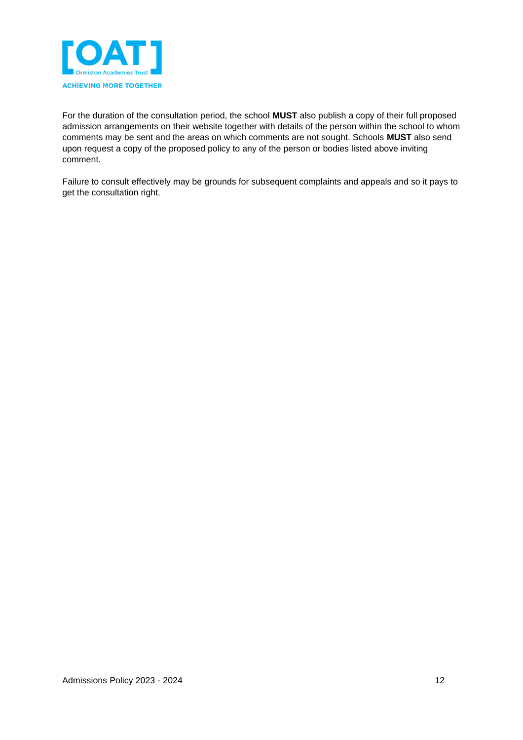

For the duration of the consultation period, the school **MUST** also publish a copy of their full proposed admission arrangements on their website together with details of the person within the school to whom comments may be sent and the areas on which comments are not sought. Schools **MUST** also send upon request a copy of the proposed policy to any of the person or bodies listed above inviting comment.

Failure to consult effectively may be grounds for subsequent complaints and appeals and so it pays to get the consultation right.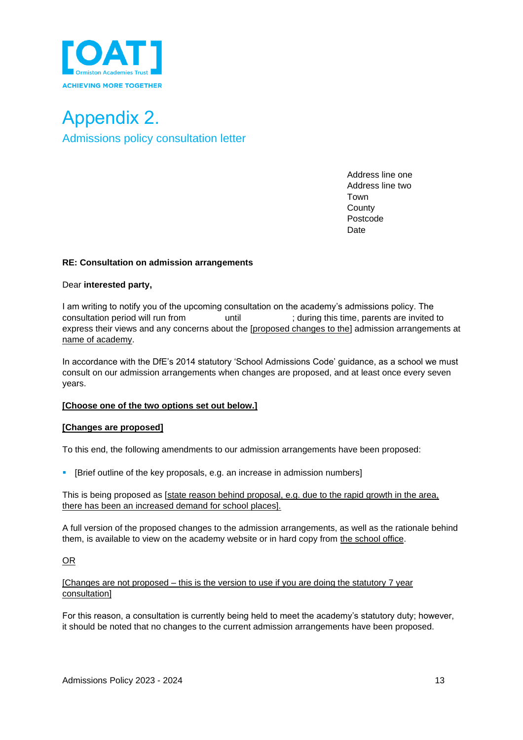

<span id="page-12-1"></span><span id="page-12-0"></span>Appendix 2. Admissions policy consultation letter

> Address line one Address line two Town **County** Postcode **Date**

#### **RE: Consultation on admission arrangements**

#### Dear **interested party,**

I am writing to notify you of the upcoming consultation on the academy's admissions policy. The consultation period will run from until ; during this time, parents are invited to express their views and any concerns about the [proposed changes to the] admission arrangements at name of academy.

In accordance with the DfE's 2014 statutory 'School Admissions Code' guidance, as a school we must consult on our admission arrangements when changes are proposed, and at least once every seven years.

#### **[Choose one of the two options set out below.]**

#### **[Changes are proposed]**

To this end, the following amendments to our admission arrangements have been proposed:

[Brief outline of the key proposals, e.g. an increase in admission numbers]

This is being proposed as [state reason behind proposal, e.g. due to the rapid growth in the area, there has been an increased demand for school places].

A full version of the proposed changes to the admission arrangements, as well as the rationale behind them, is available to view on the academy website or in hard copy from the school office.

#### OR

#### [Changes are not proposed – this is the version to use if you are doing the statutory 7 year consultation]

For this reason, a consultation is currently being held to meet the academy's statutory duty; however, it should be noted that no changes to the current admission arrangements have been proposed.